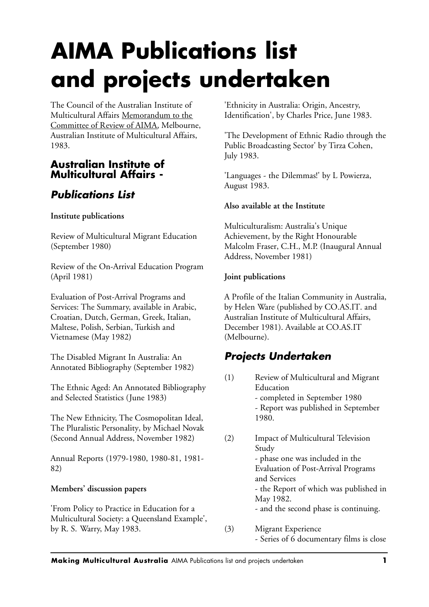# **AIMA Publications list and projects undertaken**

The Council of the Australian Institute of Multicultural Affairs Memorandum to the Committee of Review of AIMA, Melbourne, Australian Institute of Multicultural Affairs, 1983.

### **Australian Institute of Multicultural Affairs -**

## *Publications List*

#### **Institute publications**

Review of Multicultural Migrant Education (September 1980)

Review of the On-Arrival Education Program (April 1981)

Evaluation of Post-Arrival Programs and Services: The Summary, available in Arabic, Croatian, Dutch, German, Greek, Italian, Maltese, Polish, Serbian, Turkish and Vietnamese (May 1982)

The Disabled Migrant In Australia: An Annotated Bibliography (September 1982)

The Ethnic Aged: An Annotated Bibliography and Selected Statistics (June 1983)

The New Ethnicity, The Cosmopolitan Ideal, The Pluralistic Personality, by Michael Novak (Second Annual Address, November 1982)

Annual Reports (1979-1980, 1980-81, 1981- 82)

#### **Members' discussion papers**

'From Policy to Practice in Education for a Multicultural Society: a Queensland Example', by R. S. Warry, May 1983.

'Ethnicity in Australia: Origin, Ancestry, Identification', by Charles Price, June 1983.

'The Development of Ethnic Radio through the Public Broadcasting Sector' by Tirza Cohen, July 1983.

'Languages - the Dilemmas!' by L Powierza, August 1983.

#### **Also available at the Institute**

Multiculturalism: Australia's Unique Achievement, by the Right Honourable Malcolm Fraser, C.H., M.P. (Inaugural Annual Address, November 1981)

#### **Joint publications**

A Profile of the Italian Community in Australia, by Helen Ware (published by CO.AS.IT. and Australian Institute of Multicultural Affairs, December 1981). Available at CO.AS.IT (Melbourne).

## *Projects Undertaken*

- (1) Review of Multicultural and Migrant Education - completed in September 1980 - Report was published in September 1980.
- (2) Impact of Multicultural Television Study - phase one was included in the Evaluation of Post-Arrival Programs and Services - the Report of which was published in May 1982. - and the second phase is continuing.
- (3) Migrant Experience - Series of 6 documentary films is close